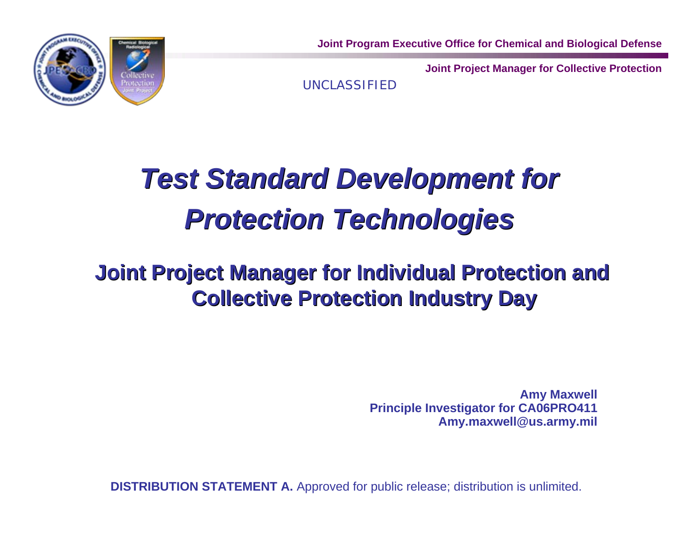

**Joint Program Executive Office for Chemical and Biological Defense**

**Joint Project Manager for Collective Protection**

UNCLASSIFIED

# *Test Standard Development for Test Standard Development for Protection Technologies Protection Technologies*

#### **Joint Project Manager for Individual Protection and Joint Project Manager for Individual Protection and Collective Protection Industry Day Collective Protection Industry Day**

**Amy Maxwell Principle Investigator for CA06PRO411 Amy.maxwell@us.army.mil**

**DISTRIBUTION STATEMENT A.** Approved for public release; distribution is unlimited.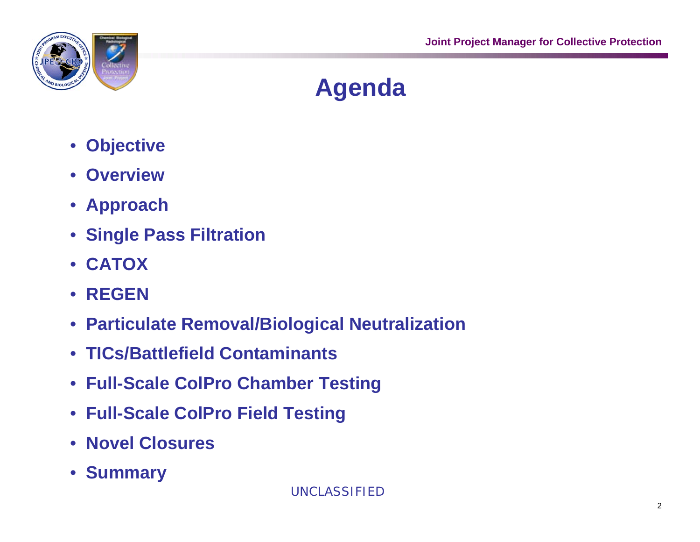

# **Agenda**

- **Objective**
- **Overview**
- **Approach**
- **Single Pass Filtration**
- **CATOX**
- **REGEN**
- **Particulate Removal/Biological Neutralization**
- **TICs/Battlefield Contaminants**
- **Full-Scale ColPro Chamber Testing**
- **Full-Scale ColPro Field Testing**
- **Novel Closures**
- **Summary**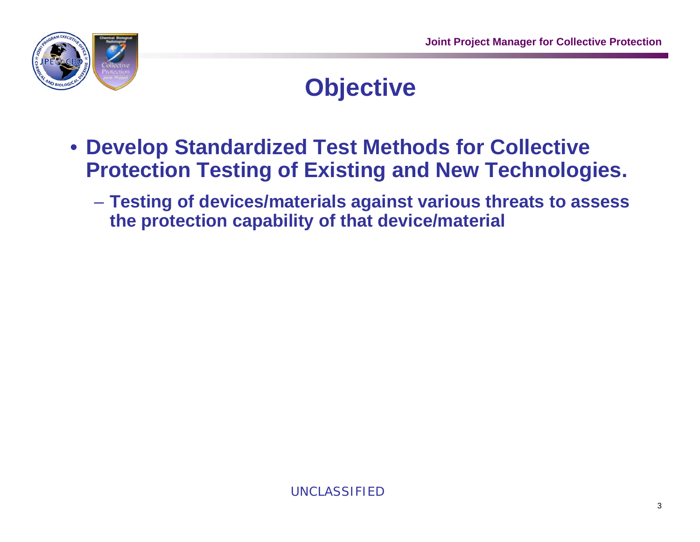

### **Objective**

- **Develop Standardized Test Methods for Collective Protection Testing of Existing and New Technologies.**
	- **Testing of devices/materials against various threats to assess the protection capability of that device/material**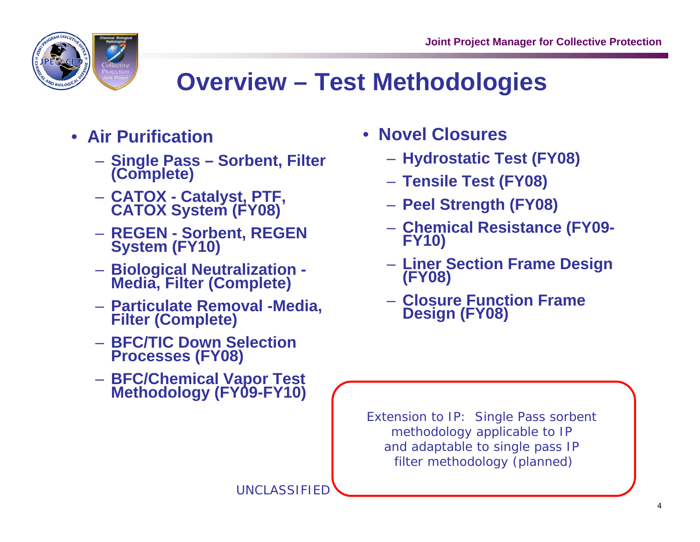

# **Overview – Test Methodologies**

- **Air Purification**
	- **Single Pass Sorbent, Filter (Complete)**
	- **CATOX Catalyst, PTF, CATOX System (FY08)**
	- **REGEN Sorbent, REGEN System (FY10)**
	- **Biological Neutralization Media, Filter (Complete)**
	- **Particulate Removal -Media, Filter (Complete)**
	- **BFC/TIC Down Selection Processes (FY08)**
	- **BFC/Chemical Vapor Test Methodology (FY09-FY10)**
- **Novel Closures**
	- **Hydrostatic Test (FY08)**
	- **Tensile Test (FY08)**
	- **Peel Strength (FY08)**
	- **Chemical Resistance (FY09- FY10)**
	- **Liner Section Frame Design (FY08)**
	- **Closure Function Frame Design (FY08)**

Extension to IP: Single Pass sorbent methodology applicable to IP and adaptable to single pass IP filter methodology (planned)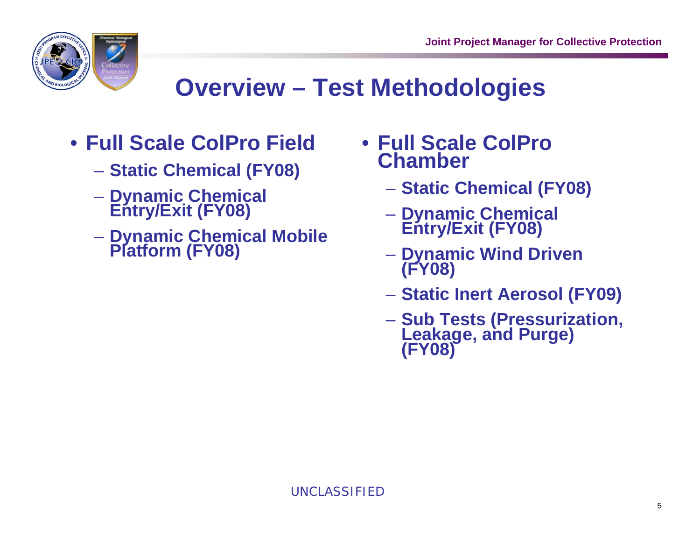

# **Overview – Test Methodologies**

- **Full Scale ColPro Field**
	- **Static Chemical (FY08)**
	- **Dynamic Chemical Entry/Exit (FY08)**
	- **Dynamic Chemical Mobile Platform (FY08)**
- **Full Scale ColPro Chamber**
	- **Static Chemical (FY08)**
	- **Dynamic Chemical Entry/Exit (FY08)**
	- **Dynamic Wind Driven (FY08)**
	- **Static Inert Aerosol (FY09)**
	- **Sub Tests (Pressurization, Leakage, and Purge) (FY08)**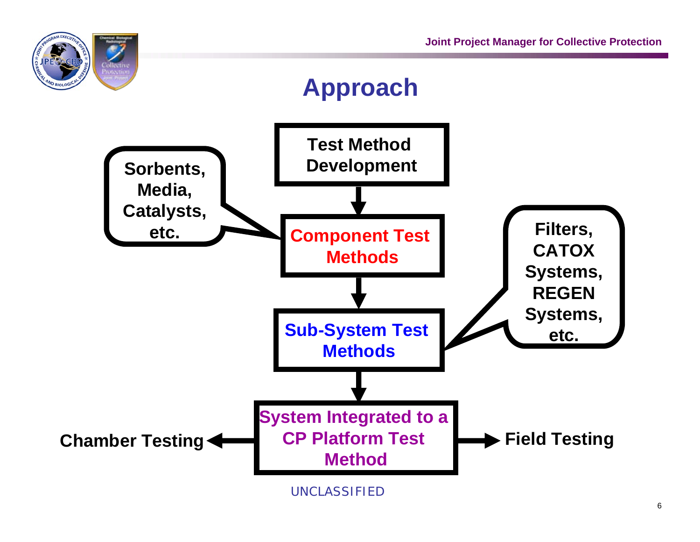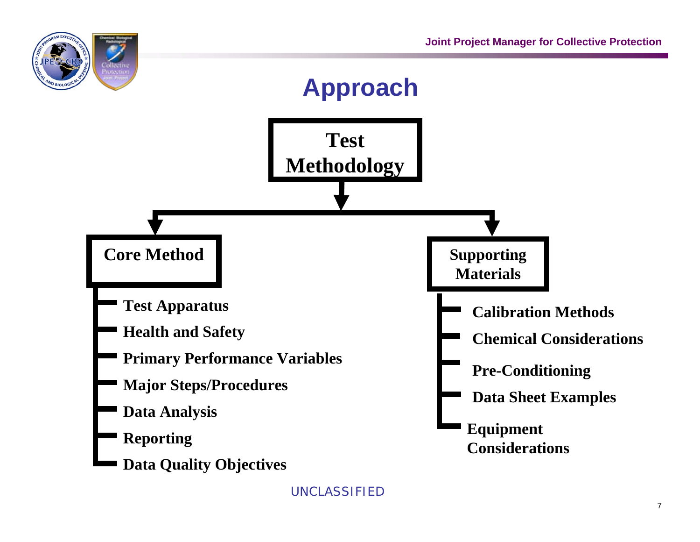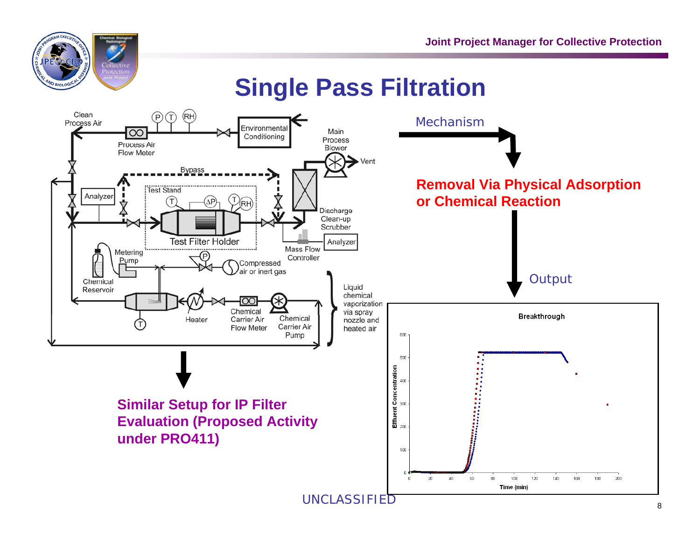

#### **Single Pass Filtration**

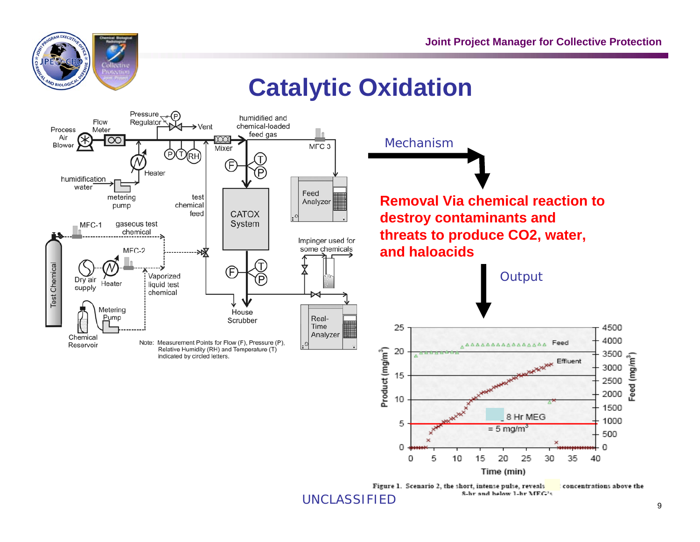

#### **Catalytic Oxidation**

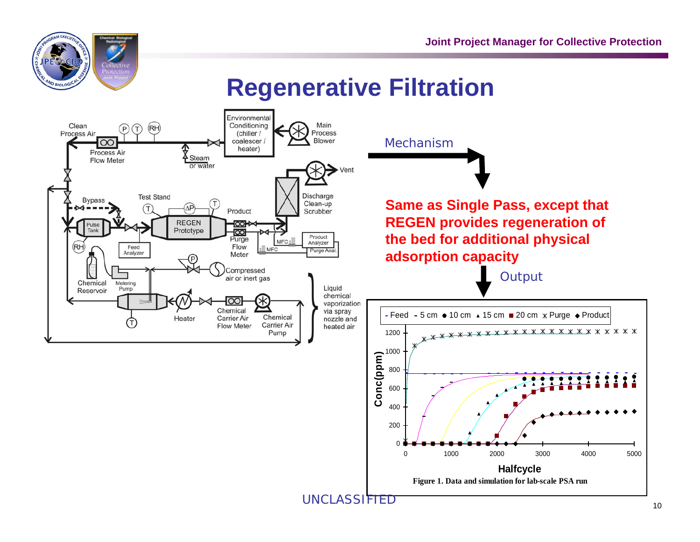

#### **Regenerative Filtration**

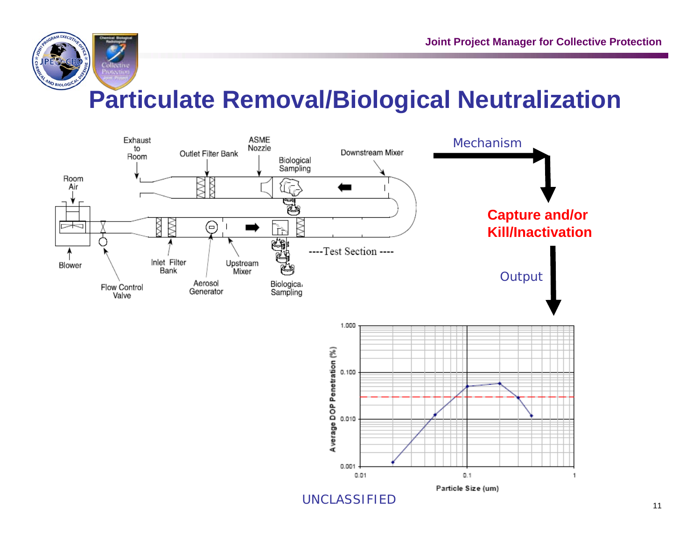

## **Particulate Removal/Biological Neutralization**





UNCLASSIFIED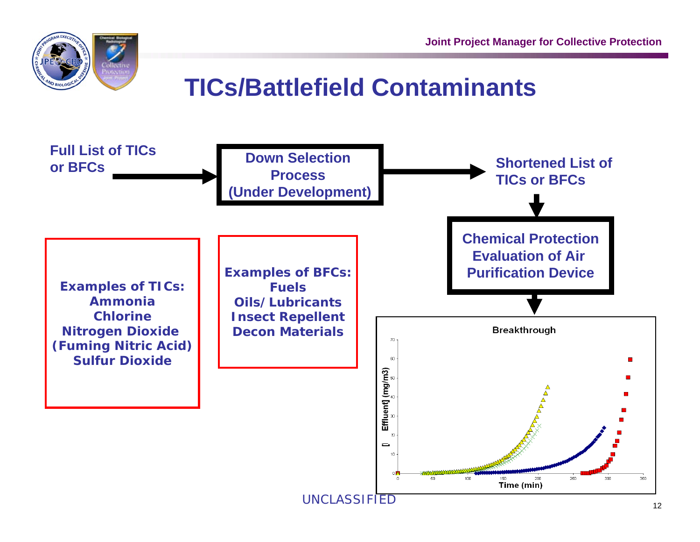

## **TICs/Battlefield Contaminants**

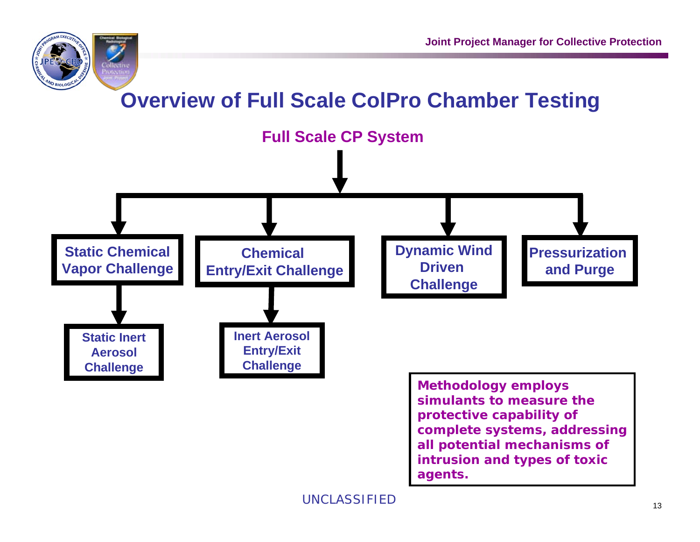



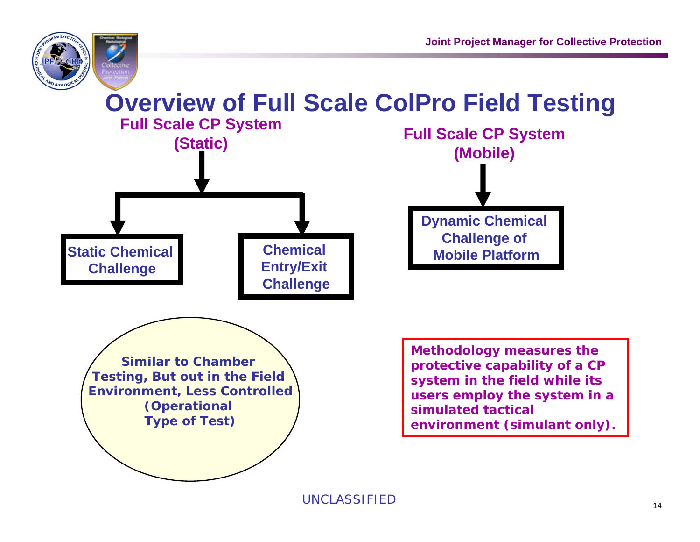

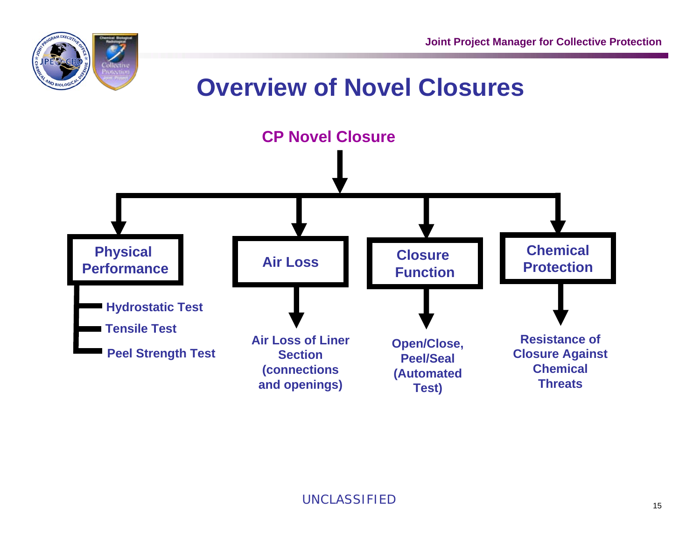

#### **Overview of Novel Closures**